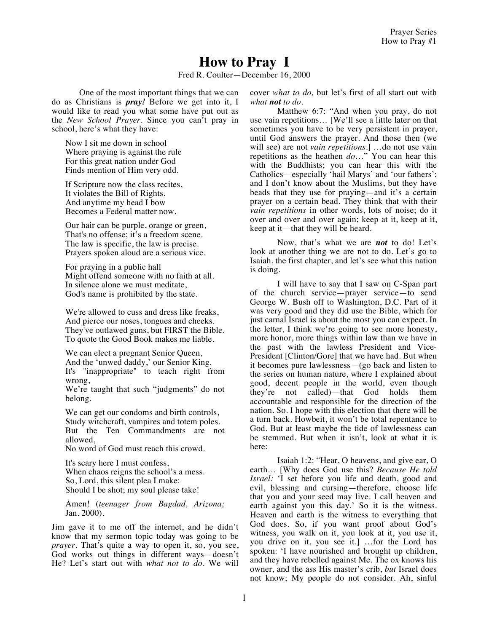## **How to Pray I**

Fred R. Coulter—December 16, 2000

One of the most important things that we can do as Christians is *pray!* Before we get into it, I would like to read you what some have put out as the *New School Prayer.* Since you can't pray in school, here's what they have:

Now I sit me down in school Where praying is against the rule For this great nation under God Finds mention of Him very odd.

If Scripture now the class recites, It violates the Bill of Rights. And anytime my head I bow Becomes a Federal matter now.

Our hair can be purple, orange or green, That's no offense; it's a freedom scene. The law is specific, the law is precise. Prayers spoken aloud are a serious vice.

For praying in a public hall Might offend someone with no faith at all. In silence alone we must meditate, God's name is prohibited by the state.

We're allowed to cuss and dress like freaks, And pierce our noses, tongues and cheeks. They've outlawed guns, but FIRST the Bible. To quote the Good Book makes me liable.

We can elect a pregnant Senior Queen, And the 'unwed daddy,' our Senior King. It's "inappropriate" to teach right from wrong,

We're taught that such "judgments" do not belong.

We can get our condoms and birth controls, Study witchcraft, vampires and totem poles. But the Ten Commandments are not allowed,

No word of God must reach this crowd.

It's scary here I must confess, When chaos reigns the school's a mess. So, Lord, this silent plea I make: Should I be shot; my soul please take!

Amen! (*teenager from Bagdad, Arizona;*  Jan. 2000).

Jim gave it to me off the internet, and he didn't know that my sermon topic today was going to be *prayer*. That's quite a way to open it, so, you see, God works out things in different ways—doesn't He? Let's start out with *what not to do*. We will cover *what to do,* but let's first of all start out with *what not to do.*

Matthew 6:7: "And when you pray, do not use vain repetitions… [We'll see a little later on that sometimes you have to be very persistent in prayer, until God answers the prayer. And those then (we will see) are not *vain repetitions*.] …do not use vain repetitions as the heathen *do*…" You can hear this with the Buddhists; you can hear this with the Catholics—especially 'hail Marys' and 'our fathers'; and I don't know about the Muslims, but they have beads that they use for praying—and it's a certain prayer on a certain bead. They think that with their *vain repetitions* in other words, lots of noise; do it over and over and over again; keep at it, keep at it, keep at it—that they will be heard.

Now, that's what we are *not* to do! Let's look at another thing we are not to do. Let's go to Isaiah, the first chapter, and let's see what this nation is doing.

I will have to say that I saw on C-Span part of the church service—prayer service—to send George W. Bush off to Washington, D.C. Part of it was very good and they did use the Bible, which for just carnal Israel is about the most you can expect. In the letter, I think we're going to see more honesty, more honor, more things within law than we have in the past with the lawless President and Vice-President [Clinton/Gore] that we have had. But when it becomes pure lawlessness—(go back and listen to the series on human nature, where I explained about good, decent people in the world, even though they're not called)—that God holds them accountable and responsible for the direction of the nation. So. I hope with this election that there will be a turn back. Howbeit, it won't be total repentance to God. But at least maybe the tide of lawlessness can be stemmed. But when it isn't, look at what it is here:

Isaiah 1:2: "Hear, O heavens, and give ear, O earth… [Why does God use this? *Because He told Israel:* 'I set before you life and death, good and evil, blessing and cursing—therefore, choose life that you and your seed may live. I call heaven and earth against you this day.' So it is the witness. Heaven and earth is the witness to everything that God does. So, if you want proof about God's witness, you walk on it, you look at it, you use it, you drive on it, you see it.] …for the Lord has spoken: 'I have nourished and brought up children, and they have rebelled against Me. The ox knows his owner, and the ass His master's crib, *but* Israel does not know; My people do not consider. Ah, sinful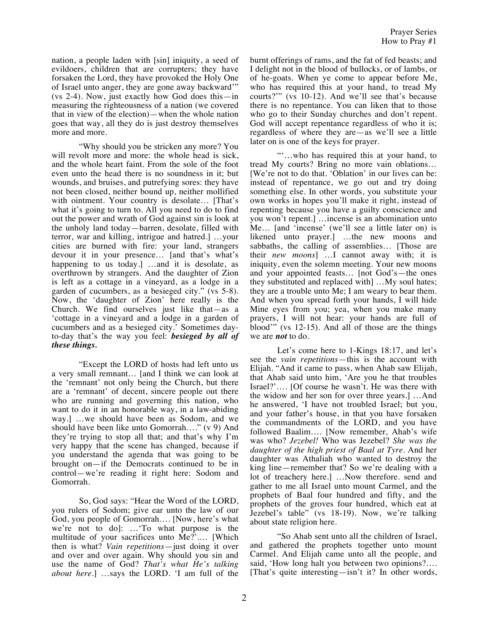nation, a people laden with [sin] iniquity, a seed of evildoers, children that are corrupters; they have forsaken the Lord, they have provoked the Holy One of Israel unto anger, they are gone away backward'" (vs 2-4). Now, just exactly how God does this—in measuring the righteousness of a nation (we covered that in view of the election)—when the whole nation goes that way, all they do is just destroy themselves more and more.

"Why should you be stricken any more? You will revolt more and more: the whole head is sick, and the whole heart faint. From the sole of the foot even unto the head there is no soundness in it; but wounds, and bruises, and putrefying sores: they have not been closed, neither bound up, neither mollified with ointment. Your country is desolate… [That's what it's going to turn to. All you need to do to find out the power and wrath of God against sin is look at the unholy land today—barren, desolate, filled with terror, war and killing, intrigue and hatred.] …your cities are burned with fire: your land, strangers devour it in your presence… [and that's what's happening to us today.] ...and it is desolate, as overthrown by strangers. And the daughter of Zion is left as a cottage in a vineyard, as a lodge in a garden of cucumbers, as a besieged city." (vs 5-8). Now, the 'daughter of Zion' here really is the Church. We find ourselves just like that—as a 'cottage in a vineyard and a lodge in a garden of cucumbers and as a besieged city.' Sometimes dayto-day that's the way you feel: *besieged by all of these things.*

"Except the LORD of hosts had left unto us a very small remnant… [and I think we can look at the 'remnant' not only being the Church, but there are a 'remnant' of decent, sincere people out there who are running and governing this nation, who want to do it in an honorable way, in a law-abiding way.] …we should have been as Sodom, and we should have been like unto Gomorrah…." (v 9) And they're trying to stop all that; and that's why I'm very happy that the scene has changed, because if you understand the agenda that was going to be brought on—if the Democrats continued to be in control—we're reading it right here: Sodom and Gomorrah.

So, God says: "Hear the Word of the LORD, you rulers of Sodom; give ear unto the law of our God, you people of Gomorrah…. [Now, here's what we're not to do]: …'To what purpose is the multitude of your sacrifices unto Me?'.… [Which then is what? *Vain repetitions*—just doing it over and over and over again. Why should you sin and use the name of God? *That's what He's talking about here.*] …says the LORD. 'I am full of the burnt offerings of rams, and the fat of fed beasts; and I delight not in the blood of bullocks, or of lambs, or of he-goats. When ye come to appear before Me, who has required this at your hand, to tread My courts?'" (vs 10-12). And we'll see that's because there is no repentance. You can liken that to those who go to their Sunday churches and don't repent. God will accept repentance regardless of who it is; regardless of where they are—as we'll see a little later on is one of the keys for prayer.

"'…who has required this at your hand, to tread My courts? Bring no more vain oblations… [We're not to do that. 'Oblation' in our lives can be: instead of repentance, we go out and try doing something else. In other words, you substitute your own works in hopes you'll make it right, instead of repenting because you have a guilty conscience and you won't repent.] …incense is an abomination unto Me… [and 'incense' (we'll see a little later on) is likened unto prayer.] …the new moons and sabbaths, the calling of assemblies… [Those are their *new moons*] …I cannot away with; it is iniquity, even the solemn meeting. Your new moons and your appointed feasts… [not God's—the ones they substituted and replaced with] …My soul hates; they are a trouble unto Me; I am weary to bear them. And when you spread forth your hands, I will hide Mine eyes from you; yea, when you make many prayers, I will not hear: your hands are full of blood'" (vs 12-15). And all of those are the things we are *not* to do.

Let's come here to 1-Kings 18:17, and let's see the *vain repetitions*—this is the account with Elijah. "And it came to pass, when Ahab saw Elijah, that Ahab said unto him, 'Are you he that troubles Israel?'…. [Of course he wasn't. He was there with the widow and her son for over three years.] …And he answered, 'I have not troubled Israel; but you, and your father's house, in that you have forsaken the commandments of the LORD, and you have followed Baalim…. [Now remember, Ahab's wife was who? *Jezebel!* Who was Jezebel? *She was the daughter of the high priest of Baal at Tyre.* And her daughter was Athaliah who wanted to destroy the king line—remember that? So we're dealing with a lot of treachery here.] …Now therefore. send and gather to me all Israel unto mount Carmel, and the prophets of Baal four hundred and fifty, and the prophets of the groves four hundred, which eat at Jezebel's table" (vs 18-19). Now, we're talking about state religion here.

"So Ahab sent unto all the children of Israel, and gathered the prophets together unto mount Carmel. And Elijah came unto all the people, and said, 'How long halt you between two opinions?…. [That's quite interesting—isn't it? In other words,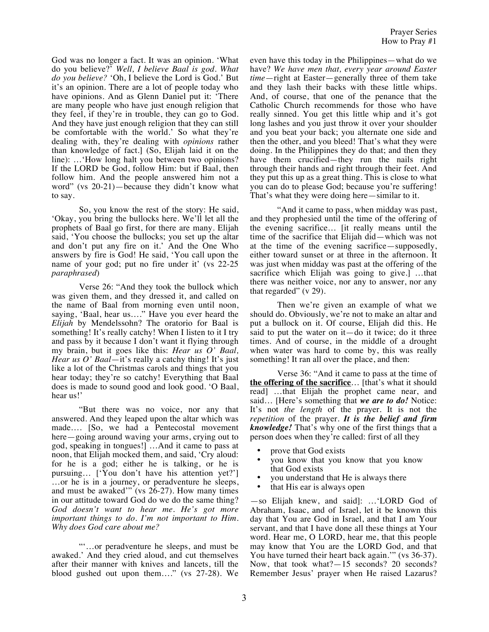God was no longer a fact. It was an opinion. 'What do you believe?' *Well, I believe Baal is god. What do you believe?* 'Oh, I believe the Lord is God.' But it's an opinion. There are a lot of people today who have opinions. And as Glenn Daniel put it: 'There are many people who have just enough religion that they feel, if they're in trouble, they can go to God. And they have just enough religion that they can still be comfortable with the world.' So what they're dealing with, they're dealing with *opinions* rather than knowledge of fact.] (So, Elijah laid it on the line): …'How long halt you between two opinions? If the LORD be God, follow Him: but if Baal, then follow him. And the people answered him not a word" (vs 20-21)—because they didn't know what to say.

So, you know the rest of the story: He said, 'Okay, you bring the bullocks here. We'll let all the prophets of Baal go first, for there are many. Elijah said, 'You choose the bullocks; you set up the altar and don't put any fire on it.' And the One Who answers by fire is God! He said, 'You call upon the name of your god; put no fire under it' (vs 22-25) *paraphrased*)

Verse 26: "And they took the bullock which was given them, and they dressed it, and called on the name of Baal from morning even until noon, saying, 'Baal, hear us…." Have you ever heard the *Elijah* by Mendelssohn? The oratorio for Baal is something! It's really catchy! When I listen to it I try and pass by it because I don't want it flying through my brain, but it goes like this: *Hear us O' Baal, Hear us O' Baal*—it's really a catchy thing! It's just like a lot of the Christmas carols and things that you hear today; they're so catchy! Everything that Baal does is made to sound good and look good. 'O Baal, hear us!'

"But there was no voice, nor any that answered. And they leaped upon the altar which was made…. [So, we had a Pentecostal movement here—going around waving your arms, crying out to god, speaking in tongues!] …And it came to pass at noon, that Elijah mocked them, and said, 'Cry aloud: for he is a god; either he is talking, or he is pursuing… ['You don't have his attention yet?'] …or he is in a journey, or peradventure he sleeps, and must be awaked'" (vs  $26-27$ ). How many times in our attitude toward God do we do the same thing? *God doesn't want to hear me. He's got more important things to do. I'm not important to Him. Why does God care about me?* 

"'…or peradventure he sleeps, and must be awaked.' And they cried aloud, and cut themselves after their manner with knives and lancets, till the blood gushed out upon them…." (vs 27-28). We even have this today in the Philippines—what do we have? *We have men that, every year around Easter time*—right at Easter—generally three of them take and they lash their backs with these little whips. And, of course, that one of the penance that the Catholic Church recommends for those who have really sinned. You get this little whip and it's got long lashes and you just throw it over your shoulder and you beat your back; you alternate one side and then the other, and you bleed! That's what they were doing. In the Philippines they do that; and then they have them crucified—they run the nails right through their hands and right through their feet. And they put this up as a great thing. This is close to what you can do to please God; because you're suffering! That's what they were doing here—similar to it.

"And it came to pass, when midday was past, and they prophesied until the time of the offering of the evening sacrifice… [it really means until the time of the sacrifice that Elijah did—which was not at the time of the evening sacrifice—supposedly, either toward sunset or at three in the afternoon. It was just when midday was past at the offering of the sacrifice which Elijah was going to give.] …that there was neither voice, nor any to answer, nor any that regarded" (v 29).

Then we're given an example of what we should do. Obviously, we're not to make an altar and put a bullock on it. Of course, Elijah did this. He said to put the water on it—do it twice; do it three times. And of course, in the middle of a drought when water was hard to come by, this was really something! It ran all over the place, and then:

Verse 36: "And it came to pass at the time of **the offering of the sacrifice**… [that's what it should read] …that Elijah the prophet came near, and said… [Here's something that *we are to do!* Notice: It's not *the length* of the prayer. It is not the *repetition* of the prayer. *It is the belief and firm knowledge!* That's why one of the first things that a person does when they're called: first of all they

- prove that God exists<br>• you know that you l
- you know that you know that you know that God exists
- you understand that He is always there
- that His ear is always open

—so Elijah knew, and said]: …'LORD God of Abraham, Isaac, and of Israel, let it be known this day that You are God in Israel, and that I am Your servant, and that I have done all these things at Your word. Hear me, O LORD, hear me, that this people may know that You are the LORD God, and that You have turned their heart back again.'" (vs 36-37). Now, that took what?—15 seconds? 20 seconds? Remember Jesus' prayer when He raised Lazarus?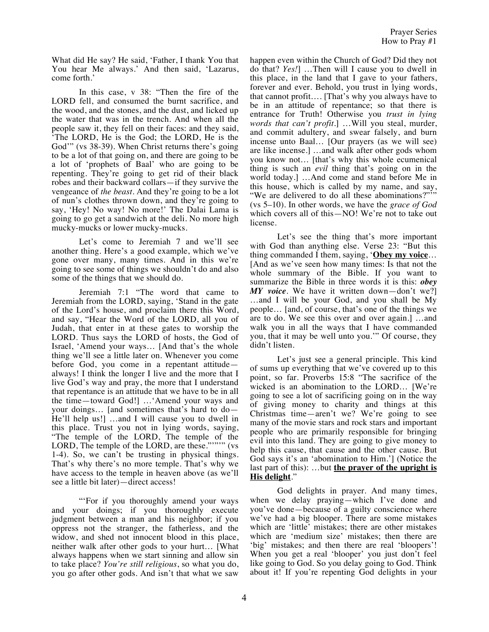What did He say? He said, 'Father, I thank You that You hear Me always.' And then said, 'Lazarus, come forth.'

In this case, v 38: "Then the fire of the LORD fell, and consumed the burnt sacrifice, and the wood, and the stones, and the dust, and licked up the water that was in the trench. And when all the people saw it, they fell on their faces: and they said, 'The LORD, He is the God; the LORD, He is the God'" (vs 38-39). When Christ returns there's going to be a lot of that going on, and there are going to be a lot of 'prophets of Baal' who are going to be repenting. They're going to get rid of their black robes and their backward collars—if they survive the vengeance of *the beast*. And they're going to be a lot of nun's clothes thrown down, and they're going to say, 'Hey! No way! No more!' The Dalai Lama is going to go get a sandwich at the deli. No more high mucky-mucks or lower mucky-mucks.

Let's come to Jeremiah 7 and we'll see another thing. Here's a good example, which we've gone over many, many times. And in this we're going to see some of things we shouldn't do and also some of the things that we should do.

Jeremiah 7:1 "The word that came to Jeremiah from the LORD, saying, 'Stand in the gate of the Lord's house, and proclaim there this Word, and say, "Hear the Word of the LORD, all you of Judah, that enter in at these gates to worship the LORD. Thus says the LORD of hosts, the God of Israel, 'Amend your ways… [And that's the whole thing we'll see a little later on. Whenever you come before God, you come in a repentant attitude always! I think the longer I live and the more that I live God's way and pray, the more that I understand that repentance is an attitude that we have to be in all the time—toward God!] …'Amend your ways and your doings… [and sometimes that's hard to do— He'll help us!] …and I will cause you to dwell in this place. Trust you not in lying words, saying, "The temple of the LORD, The temple of the LORD, The temple of the LORD, are these."""" (vs 1-4). So, we can't be trusting in physical things. That's why there's no more temple. That's why we have access to the temple in heaven above (as we'll see a little bit later)—direct access!

"'For if you thoroughly amend your ways and your doings; if you thoroughly execute judgment between a man and his neighbor; if you oppress not the stranger, the fatherless, and the widow, and shed not innocent blood in this place, neither walk after other gods to your hurt… [What always happens when we start sinning and allow sin to take place? *You're still religious*, so what you do, you go after other gods. And isn't that what we saw

happen even within the Church of God? Did they not do that? *Yes!*] …Then will I cause you to dwell in this place, in the land that I gave to your fathers, forever and ever. Behold, you trust in lying words, that cannot profit…. [That's why you always have to be in an attitude of repentance; so that there is entrance for Truth! Otherwise you *trust in lying words that can't profit.*] …Will you steal, murder, and commit adultery, and swear falsely, and burn incense unto Baal… [Our prayers (as we will see) are like incense.] …and walk after other gods whom you know not… [that's why this whole ecumenical thing is such an *evil* thing that's going on in the world today.] …And come and stand before Me in this house, which is called by my name, and say, "We are delivered to do all these abominations?"'" (vs 5–10). In other words, we have the *grace of God* which covers all of this—NO! We're not to take out license.

Let's see the thing that's more important with God than anything else. Verse 23: "But this thing commanded I them, saying, '**Obey my voice**… [And as we've seen how many times: Is that not the whole summary of the Bible. If you want to summarize the Bible in three words it is this: *obey MY voice*. We have it written down—don't we?] …and I will be your God, and you shall be My people… [and, of course, that's one of the things we are to do. We see this over and over again.] …and walk you in all the ways that I have commanded you, that it may be well unto you.'" Of course, they didn't listen.

Let's just see a general principle. This kind of sums up everything that we've covered up to this point, so far. Proverbs 15:8 "The sacrifice of the wicked is an abomination to the LORD… [We're going to see a lot of sacrificing going on in the way of giving money to charity and things at this Christmas time—aren't we? We're going to see many of the movie stars and rock stars and important people who are primarily responsible for bringing evil into this land. They are going to give money to help this cause, that cause and the other cause. But God says it's an 'abomination to Him.'] (Notice the last part of this): …but **the prayer of the upright is His delight**."

God delights in prayer. And many times, when we delay praying—which I've done and you've done—because of a guilty conscience where we've had a big blooper. There are some mistakes which are 'little' mistakes; there are other mistakes which are 'medium size' mistakes; then there are 'big' mistakes; and then there are real 'bloopers'! When you get a real 'blooper' you just don't feel like going to God. So you delay going to God. Think about it! If you're repenting God delights in your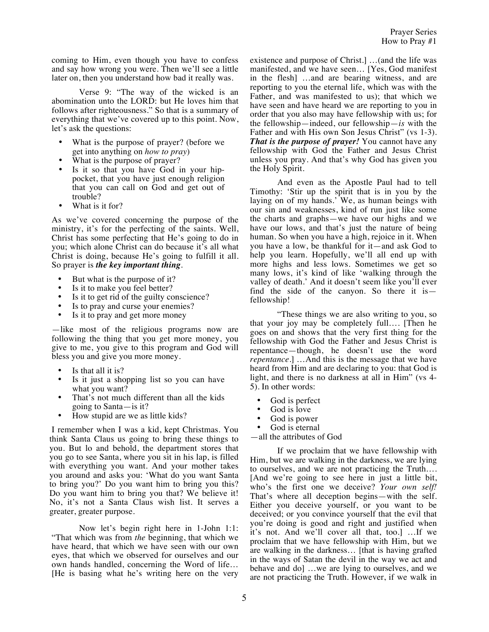coming to Him, even though you have to confess and say how wrong you were. Then we'll see a little later on, then you understand how bad it really was.

Verse 9: "The way of the wicked is an abomination unto the LORD: but He loves him that follows after righteousness." So that is a summary of everything that we've covered up to this point. Now, let's ask the questions:

- What is the purpose of prayer? (before we get into anything on *how to pray*)
- What is the purpose of prayer?
- Is it so that you have God in your hippocket, that you have just enough religion that you can call on God and get out of trouble?
- What is it for?

As we've covered concerning the purpose of the ministry, it's for the perfecting of the saints. Well, Christ has some perfecting that He's going to do in you; which alone Christ can do because it's all what Christ is doing, because He's going to fulfill it all. So prayer is *the key important thing.*

- But what is the purpose of it?
- Is it to make you feel better?<br>• Is it to get rid of the quilty co
- Is it to get rid of the guilty conscience?
- Is to pray and curse your enemies?
- Is it to pray and get more money

—like most of the religious programs now are following the thing that you get more money, you give to me, you give to this program and God will bless you and give you more money.

- Is that all it is?
- Is it just a shopping list so you can have what you want?
- That's not much different than all the kids going to Santa—is it?
- How stupid are we as little kids?

I remember when I was a kid, kept Christmas. You think Santa Claus us going to bring these things to you. But lo and behold, the department stores that you go to see Santa, where you sit in his lap, is filled with everything you want. And your mother takes you around and asks you: 'What do you want Santa to bring you?' Do you want him to bring you this? Do you want him to bring you that? We believe it! No, it's not a Santa Claus wish list. It serves a greater, greater purpose.

Now let's begin right here in 1-John 1:1: "That which was from *the* beginning, that which we have heard, that which we have seen with our own eyes, that which we observed for ourselves and our own hands handled, concerning the Word of life… [He is basing what he's writing here on the very

existence and purpose of Christ.] …(and the life was manifested, and we have seen… [Yes, God manifest in the flesh] …and are bearing witness, and are reporting to you the eternal life, which was with the Father, and was manifested to us); that which we have seen and have heard we are reporting to you in order that you also may have fellowship with us; for the fellowship—indeed, our fellowship—*is* with the Father and with His own Son Jesus Christ" (vs 1-3). *That is the purpose of prayer!* You cannot have any fellowship with God the Father and Jesus Christ unless you pray. And that's why God has given you the Holy Spirit.

And even as the Apostle Paul had to tell Timothy: 'Stir up the spirit that is in you by the laying on of my hands.' We, as human beings with our sin and weaknesses, kind of run just like some the charts and graphs—we have our highs and we have our lows, and that's just the nature of being human. So when you have a high, rejoice in it. When you have a low, be thankful for it—and ask God to help you learn. Hopefully, we'll all end up with more highs and less lows. Sometimes we get so many lows, it's kind of like 'walking through the valley of death.' And it doesn't seem like you'll ever find the side of the canyon. So there it is fellowship!

"These things we are also writing to you, so that your joy may be completely full…. [Then he goes on and shows that the very first thing for the fellowship with God the Father and Jesus Christ is repentance—though, he doesn't use the word *repentance.*] …And this is the message that we have heard from Him and are declaring to you: that God is light, and there is no darkness at all in Him" (vs 4- 5). In other words:

- God is perfect<br>• God is love
- God is love
- God is power<br>• God is eternal
- God is eternal

—all the attributes of God

If we proclaim that we have fellowship with Him, but we are walking in the darkness, we are lying to ourselves, and we are not practicing the Truth…. [And we're going to see here in just a little bit, who's the first one we deceive? *Your own self!* That's where all deception begins—with the self. Either you deceive yourself, or you want to be deceived; or you convince yourself that the evil that you're doing is good and right and justified when it's not. And we'll cover all that, too.] …If we proclaim that we have fellowship with Him, but we are walking in the darkness… [that is having grafted in the ways of Satan the devil in the way we act and behave and do] …we are lying to ourselves, and we are not practicing the Truth. However, if we walk in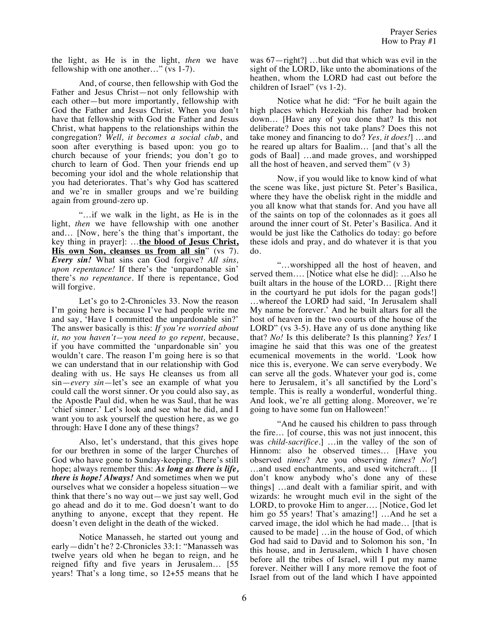the light, as He is in the light, *then* we have fellowship with one another…" (vs 1-7).

And, of course, then fellowship with God the Father and Jesus Christ—not only fellowship with each other—but more importantly, fellowship with God the Father and Jesus Christ. When you don't have that fellowship with God the Father and Jesus Christ, what happens to the relationships within the congregation? *Well, it becomes a social club*, and soon after everything is based upon: you go to church because of your friends; you don't go to church to learn of God. Then your friends end up becoming your idol and the whole relationship that you had deteriorates. That's why God has scattered and we're in smaller groups and we're building again from ground-zero up.

"…if we walk in the light, as He is in the light, *then* we have fellowship with one another and… [Now, here's the thing that's important, the key thing in prayer]: …**the blood of Jesus Christ, His own Son, cleanses us from all sin**" (vs 7). *Every sin!* What sins can God forgive? *All sins, upon repentance!* If there's the 'unpardonable sin' there's *no repentance*. If there is repentance, God will forgive.

Let's go to 2-Chronicles 33. Now the reason I'm going here is because I've had people write me and say, 'Have I committed the unpardonable sin?' The answer basically is this: *If you're worried about it, no you haven't—you need to go repent,* because, if you have committed the 'unpardonable sin' you wouldn't care. The reason I'm going here is so that we can understand that in our relationship with God dealing with us. He says He cleanses us from all sin—*every sin*—let's see an example of what you could call the worst sinner. Or you could also say, as the Apostle Paul did, when he was Saul, that he was 'chief sinner.' Let's look and see what he did, and I want you to ask yourself the question here, as we go through: Have I done any of these things?

Also, let's understand, that this gives hope for our brethren in some of the larger Churches of God who have gone to Sunday-keeping. There's still hope; always remember this: *As long as there is life, there is hope! Always!* And sometimes when we put ourselves what we consider a hopeless situation—we think that there's no way out—we just say well, God go ahead and do it to me. God doesn't want to do anything to anyone, except that they repent. He doesn't even delight in the death of the wicked.

Notice Manasseh, he started out young and early—didn't he? 2-Chronicles 33:1: "Manasseh was twelve years old when he began to reign, and he reigned fifty and five years in Jerusalem… [55 years! That's a long time, so 12+55 means that he was 67—right?] …but did that which was evil in the sight of the LORD, like unto the abominations of the heathen, whom the LORD had cast out before the children of Israel" (vs 1-2).

Notice what he did: "For he built again the high places which Hezekiah his father had broken down… [Have any of you done that? Is this not deliberate? Does this not take plans? Does this not take money and financing to do? *Yes, it does!*] …and he reared up altars for Baalim… [and that's all the gods of Baal] …and made groves, and worshipped all the host of heaven, and served them"  $(v 3)$ 

Now, if you would like to know kind of what the scene was like, just picture St. Peter's Basilica, where they have the obelisk right in the middle and you all know what that stands for. And you have all of the saints on top of the colonnades as it goes all around the inner court of St. Peter's Basilica. And it would be just like the Catholics do today: go before these idols and pray, and do whatever it is that you do.

"…worshipped all the host of heaven, and served them…. [Notice what else he did]: …Also he built altars in the house of the LORD… [Right there in the courtyard he put idols for the pagan gods!] …whereof the LORD had said, 'In Jerusalem shall My name be forever.' And he built altars for all the host of heaven in the two courts of the house of the LORD" (vs 3-5). Have any of us done anything like that? *No!* Is this deliberate? Is this planning? *Yes!* I imagine he said that this was one of the greatest ecumenical movements in the world. 'Look how nice this is, everyone. We can serve everybody. We can serve all the gods. Whatever your god is, come here to Jerusalem, it's all sanctified by the Lord's temple. This is really a wonderful, wonderful thing. And look, we're all getting along. Moreover, we're going to have some fun on Halloween!'

"And he caused his children to pass through the fire… [of course, this was not just innocent, this was *child-sacrifice.*] …in the valley of the son of Hinnom: also he observed times… [Have you observed *times*? Are you observing *times*? *No!*] …and used enchantments, and used witchcraft… [I don't know anybody who's done any of these things] …and dealt with a familiar spirit, and with wizards: he wrought much evil in the sight of the LORD, to provoke Him to anger…. [Notice, God let him go 55 years! That's amazing!] ...And he set a carved image, the idol which he had made… [that is caused to be made] …in the house of God, of which God had said to David and to Solomon his son, 'In this house, and in Jerusalem, which I have chosen before all the tribes of Israel, will I put my name forever. Neither will I any more remove the foot of Israel from out of the land which I have appointed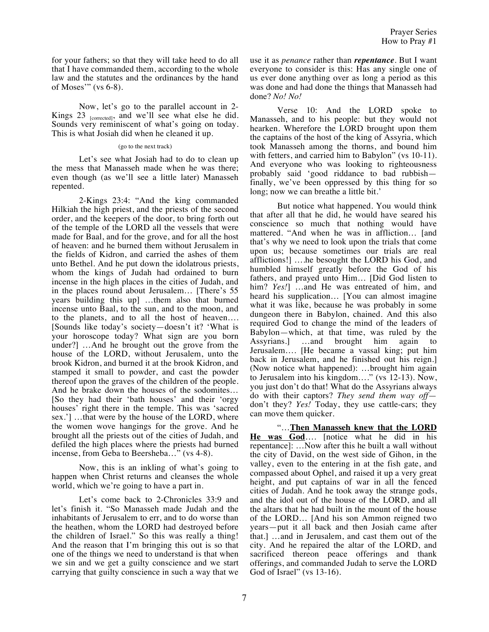for your fathers; so that they will take heed to do all that I have commanded them, according to the whole law and the statutes and the ordinances by the hand of Moses'" (vs 6-8).

Now, let's go to the parallel account in 2- Kings  $23$  [corrected], and we'll see what else he did. Sounds very reminiscent of what's going on today. This is what Josiah did when he cleaned it up.

## (go to the next track)

Let's see what Josiah had to do to clean up the mess that Manasseh made when he was there; even though (as we'll see a little later) Manasseh repented.

2-Kings 23:4: "And the king commanded Hilkiah the high priest, and the priests of the second order, and the keepers of the door, to bring forth out of the temple of the LORD all the vessels that were made for Baal, and for the grove, and for all the host of heaven: and he burned them without Jerusalem in the fields of Kidron, and carried the ashes of them unto Bethel. And he put down the idolatrous priests, whom the kings of Judah had ordained to burn incense in the high places in the cities of Judah, and in the places round about Jerusalem… [There's 55 years building this up] …them also that burned incense unto Baal, to the sun, and to the moon, and to the planets, and to all the host of heaven…. [Sounds like today's society—doesn't it? 'What is your horoscope today? What sign are you born under?] …And he brought out the grove from the house of the LORD, without Jerusalem, unto the brook Kidron, and burned it at the brook Kidron, and stamped it small to powder, and cast the powder thereof upon the graves of the children of the people. And he brake down the houses of the sodomites… [So they had their 'bath houses' and their 'orgy houses' right there in the temple. This was 'sacred sex.'] …that were by the house of the LORD, where the women wove hangings for the grove. And he brought all the priests out of the cities of Judah, and defiled the high places where the priests had burned incense, from Geba to Beersheba…" (vs 4-8).

Now, this is an inkling of what's going to happen when Christ returns and cleanses the whole world, which we're going to have a part in.

Let's come back to 2-Chronicles 33:9 and let's finish it. "So Manasseh made Judah and the inhabitants of Jerusalem to err, and to do worse than the heathen, whom the LORD had destroyed before the children of Israel." So this was really a thing! And the reason that I'm bringing this out is so that one of the things we need to understand is that when we sin and we get a guilty conscience and we start carrying that guilty conscience in such a way that we use it as *penance* rather than *repentance*. But I want everyone to consider is this: Has any single one of us ever done anything over as long a period as this was done and had done the things that Manasseh had done? *No! No!*

Verse 10: And the LORD spoke to Manasseh, and to his people: but they would not hearken. Wherefore the LORD brought upon them the captains of the host of the king of Assyria, which took Manasseh among the thorns, and bound him with fetters, and carried him to Babylon" (vs 10-11). And everyone who was looking to righteousness probably said 'good riddance to bad rubbish finally, we've been oppressed by this thing for so long; now we can breathe a little bit.'

But notice what happened. You would think that after all that he did, he would have seared his conscience so much that nothing would have mattered. "And when he was in affliction… [and that's why we need to look upon the trials that come upon us; because sometimes our trials are real afflictions!] ….he besought the LORD his God, and humbled himself greatly before the God of his fathers, and prayed unto Him… [Did God listen to him? *Yes!*] …and He was entreated of him, and heard his supplication… [You can almost imagine what it was like, because he was probably in some dungeon there in Babylon, chained. And this also required God to change the mind of the leaders of Babylon—which, at that time, was ruled by the<br>Assyrians. ...and brought him again to Assyrians.] …and brought him again to Jerusalem…. [He became a vassal king; put him back in Jerusalem, and he finished out his reign.] (Now notice what happened): …brought him again to Jerusalem into his kingdom…." (vs 12-13). Now, you just don't do that! What do the Assyrians always do with their captors? *They send them way off* don't they? *Yes!* Today, they use cattle-cars; they can move them quicker.

"…**Then Manasseh knew that the LORD He was God**…. [notice what he did in his repentance]: …Now after this he built a wall without the city of David, on the west side of Gihon, in the valley, even to the entering in at the fish gate, and compassed about Ophel, and raised it up a very great height, and put captains of war in all the fenced cities of Judah. And he took away the strange gods, and the idol out of the house of the LORD, and all the altars that he had built in the mount of the house of the LORD… [And his son Ammon reigned two years—put it all back and then Josiah came after that.] …and in Jerusalem, and cast them out of the city. And he repaired the altar of the LORD, and sacrificed thereon peace offerings and thank offerings, and commanded Judah to serve the LORD God of Israel" (vs 13-16).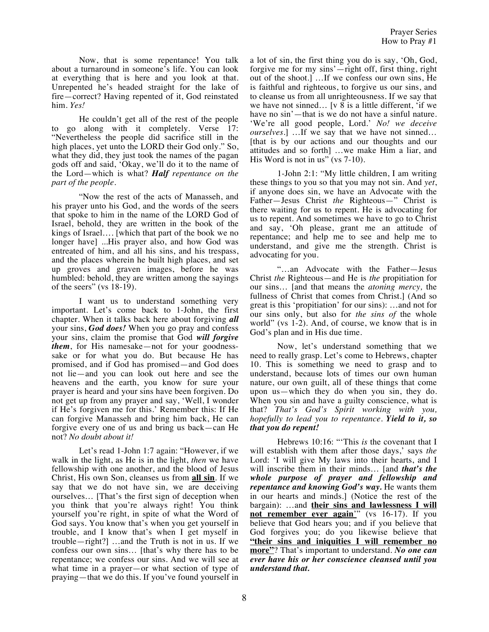Now, that is some repentance! You talk about a turnaround in someone's life. You can look at everything that is here and you look at that. Unrepented he's headed straight for the lake of fire—correct? Having repented of it, God reinstated him. *Yes!*

He couldn't get all of the rest of the people to go along with it completely. Verse 17: "Nevertheless the people did sacrifice still in the high places, yet unto the LORD their God only." So, what they did, they just took the names of the pagan gods off and said, 'Okay, we'll do it to the name of the Lord—which is what? *Half repentance on the part of the people.*

"Now the rest of the acts of Manasseh, and his prayer unto his God, and the words of the seers that spoke to him in the name of the LORD God of Israel, behold, they are written in the book of the kings of Israel…. [which that part of the book we no longer have] ...His prayer also, and how God was entreated of him, and all his sins, and his trespass, and the places wherein he built high places, and set up groves and graven images, before he was humbled: behold, they are written among the sayings of the seers" (vs 18-19).

I want us to understand something very important. Let's come back to 1-John, the first chapter. When it talks back here about forgiving *all* your sins, *God does!* When you go pray and confess your sins, claim the promise that God *will forgive them*, for His namesake—not for your goodnesssake or for what you do. But because He has promised, and if God has promised—and God does not lie—and you can look out here and see the heavens and the earth, you know for sure your prayer is heard and your sins have been forgiven. Do not get up from any prayer and say, 'Well, I wonder if He's forgiven me for this.' Remember this: If He can forgive Manasseh and bring him back, He can forgive every one of us and bring us back—can He not? *No doubt about it!*

Let's read 1-John 1:7 again: "However, if we walk in the light, as He is in the light, *then* we have fellowship with one another, and the blood of Jesus Christ, His own Son, cleanses us from **all sin**. If we say that we do not have sin, we are deceiving ourselves… [That's the first sign of deception when you think that you're always right! You think yourself you're right, in spite of what the Word of God says. You know that's when you get yourself in trouble, and I know that's when I get myself in trouble—right?] …and the Truth is not in us. If we confess our own sins… [that's why there has to be repentance; we confess our sins. And we will see at what time in a prayer—or what section of type of praying—that we do this. If you've found yourself in

a lot of sin, the first thing you do is say, 'Oh, God, forgive me for my sins'—right off, first thing, right out of the shoot.] …If we confess our own sins, He is faithful and righteous, to forgive us our sins, and to cleanse us from all unrighteousness. If we say that we have not sinned… [v 8 is a little different, 'if we have no sin'—that is we do not have a sinful nature. 'We're all good people, Lord.' *No! we deceive ourselves.*] …If we say that we have not sinned… [that is by our actions and our thoughts and our attitudes and so forth] …we make Him a liar, and His Word is not in us" (vs 7-10).

1-John 2:1: "My little children, I am writing these things to you so that you may not sin. And *yet*, if anyone does sin, we have an Advocate with the Father—Jesus Christ *the* Righteous—" Christ is there waiting for us to repent. He is advocating for us to repent. And sometimes we have to go to Christ and say, 'Oh please, grant me an attitude of repentance; and help me to see and help me to understand, and give me the strength. Christ is advocating for you.

"…an Advocate with the Father—Jesus Christ *the* Righteous—and He is *the* propitiation for our sins… [and that means the *atoning mercy,* the fullness of Christ that comes from Christ.] (And so great is this 'propitiation' for our sins): …and not for our sins only, but also for *the sins of* the whole world" (vs 1-2). And, of course, we know that is in God's plan and in His due time.

Now, let's understand something that we need to really grasp. Let's come to Hebrews, chapter 10. This is something we need to grasp and to understand, because lots of times our own human nature, our own guilt, all of these things that come upon us—which they do when you sin, they do. When you sin and have a guilty conscience, what is that? *That's God's Spirit working with you, hopefully to lead you to repentance. Yield to it, so that you do repent!*

Hebrews 10:16: "'This *is* the covenant that I will establish with them after those days,' says *the* Lord: 'I will give My laws into their hearts, and I will inscribe them in their minds… [and *that's the whole purpose of prayer and fellowship and repentance and knowing God's way.* He wants them in our hearts and minds.] (Notice the rest of the bargain): …and **their sins and lawlessness I will not remember ever again**'" (vs 16-17). If you believe that God hears you; and if you believe that God forgives you; do you likewise believe that **"their sins and iniquities I will remember no more"**? That's important to understand. *No one can ever have his or her conscience cleansed until you understand that.*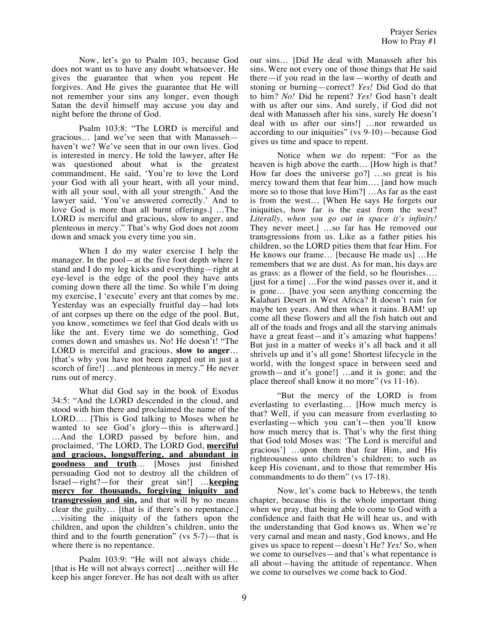Now, let's go to Psalm 103, because God does not want us to have any doubt whatsoever. He gives the guarantee that when you repent He forgives. And He gives the guarantee that He will not remember your sins any longer, even though Satan the devil himself may accuse you day and night before the throne of God.

Psalm 103:8: "The LORD is merciful and gracious… [and we've seen that with Manasseh haven't we? We've seen that in our own lives. God is interested in mercy. He told the lawyer, after He was questioned about what is the greatest commandment, He said, 'You're to love the Lord your God with all your heart, with all your mind, with all your soul, with all your strength.' And the lawyer said, 'You've answered correctly.' And to love God is more than all burnt offerings.] …The LORD is merciful and gracious, slow to anger, and plenteous in mercy." That's why God does not zoom down and smack you every time you sin.

When I do my water exercise I help the manager. In the pool—at the five foot depth where I stand and I do my leg kicks and everything—right at eye-level is the edge of the pool they have ants coming down there all the time. So while I'm doing my exercise, I 'execute' every ant that comes by me. Yesterday was an especially fruitful day—had lots of ant corpses up there on the edge of the pool. But, you know, sometimes we feel that God deals with us like the ant. Every time we do something, God comes down and smashes us. No! He doesn't! "The LORD is merciful and gracious, **slow to anger**… [that's why you have not been zapped out in just a scorch of fire!] …and plenteous in mercy." He never runs out of mercy.

What did God say in the book of Exodus 34:5: "And the LORD descended in the cloud, and stood with him there and proclaimed the name of the LORD…. [This is God talking to Moses when he wanted to see God's glory—this is afterward.] …And the LORD passed by before him, and proclaimed, 'The LORD, The LORD God, **merciful and gracious, longsuffering, and abundant in goodness and truth**… [Moses just finished persuading God not to destroy all the children of Israel—right?—for their great sin!] …**keeping mercy for thousands, forgiving iniquity and transgression and sin,** and that will by no means clear the guilty… [that is if there's no repentance.] …visiting the iniquity of the fathers upon the children, and upon the children's children, unto the third and to the fourth generation" (vs  $5-7$ )—that is where there is no repentance.

Psalm 103:9: "He will not always chide… [that is He will not always correct] …neither will He keep his anger forever. He has not dealt with us after

our sins… [Did He deal with Manasseh after his sins. Were not every one of those things that He said there—if you read in the law—worthy of death and stoning or burning—correct? *Yes!* Did God do that to him? *No!* Did he repent? *Yes!* God hasn't dealt with us after our sins. And surely, if God did not deal with Manasseh after his sins, surely He doesn't deal with us after our sins!] …nor rewarded us according to our iniquities" (vs 9-10)—because God gives us time and space to repent.

Notice when we do repent: "For as the heaven is high above the earth… [How high is that? How far does the universe go?] …so great is his mercy toward them that fear him…. [and how much more so to those that love Him?] …As far as the east is from the west… [When He says He forgets our iniquities, how far is the east from the west? *Literally, when you go out in space it's infinity!* They never meet.] …so far has He removed our transgressions from us. Like as a father pities his children, so the LORD pities them that fear Him. For He knows our frame… [because He made us] …He remembers that we are dust. As for man, his days are as grass: as a flower of the field, so he flourishes…. [just for a time] …For the wind passes over it, and it is gone… [have you seen anything concerning the Kalahari Desert in West Africa? It doesn't rain for maybe ten years. And then when it rains. BAM! up come all these flowers and all the fish hatch out and all of the toads and frogs and all the starving animals have a great feast—and it's amazing what happens! But just in a matter of weeks it's all back and it all shrivels up and it's all gone! Shortest lifecycle in the world, with the longest space in between seed and growth—and it's gone!] …and it is gone; and the place thereof shall know it no more" (vs 11-16).

"But the mercy of the LORD is from everlasting to everlasting… [How much mercy is that? Well, if you can measure from everlasting to everlasting—which you can't—then you'll know how much mercy that is. That's why the first thing that God told Moses was: 'The Lord is merciful and gracious'] …upon them that fear Him, and His righteousness unto children's children; to such as keep His covenant, and to those that remember His commandments to do them" (vs 17-18).

Now, let's come back to Hebrews, the tenth chapter, because this is the whole important thing when we pray, that being able to come to God with a confidence and faith that He will hear us, and with the understanding that God knows us. When we're very carnal and mean and nasty, God knows, and He gives us space to repent—doesn't He? *Yes!* So, when we come to ourselves—and that's what repentance is all about—having the attitude of repentance. When we come to ourselves we come back to God.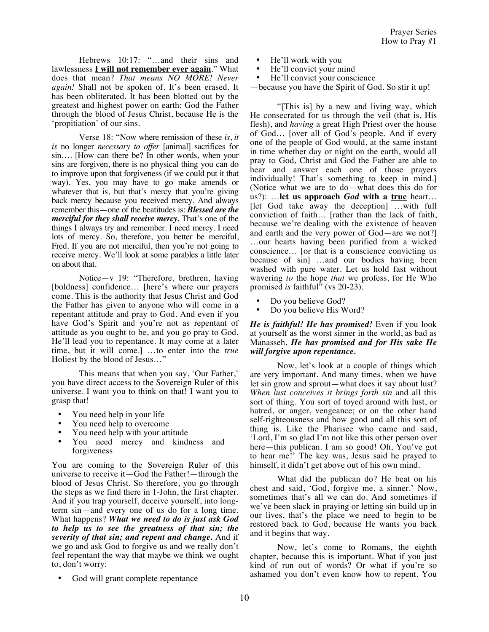Hebrews 10:17: "...and their sins and lawlessness **I will not remember ever again**." What does that mean? *That means NO MORE! Never again!* Shall not be spoken of. It's been erased. It has been obliterated. It has been blotted out by the greatest and highest power on earth: God the Father through the blood of Jesus Christ, because He is the 'propitiation' of our sins.

Verse 18: "Now where remission of these *is*, *it is* no longer *necessary to offer* [animal] sacrifices for sin…. [How can there be? In other words, when your sins are forgiven, there is no physical thing you can do to improve upon that forgiveness (if we could put it that way). Yes, you may have to go make amends or whatever that is, but that's mercy that you're giving back mercy because you received mercy. And always remember this—one of the beatitudes is: *Blessed are the merciful for they shall receive mercy.* That's one of the things I always try and remember. I need mercy. I need lots of mercy. So, therefore, you better be merciful, Fred. If you are not merciful, then you're not going to receive mercy. We'll look at some parables a little later on about that.

Notice—v 19: "Therefore, brethren, having [boldness] confidence... [here's where our prayers] come. This is the authority that Jesus Christ and God the Father has given to anyone who will come in a repentant attitude and pray to God. And even if you have God's Spirit and you're not as repentant of attitude as you ought to be, and you go pray to God, He'll lead you to repentance. It may come at a later time, but it will come.] …to enter into the *true* Holiest by the blood of Jesus…"

This means that when you say, 'Our Father,' you have direct access to the Sovereign Ruler of this universe. I want you to think on that! I want you to grasp that!

- You need help in your life
- You need help to overcome
- You need help with your attitude
- You need mercy and kindness and forgiveness

You are coming to the Sovereign Ruler of this universe to receive it—God the Father!—through the blood of Jesus Christ. So therefore, you go through the steps as we find there in 1-John, the first chapter. And if you trap yourself, deceive yourself, into longterm sin—and every one of us do for a long time. What happens? *What we need to do is just ask God to help us to see the greatness of that sin; the severity of that sin; and repent and change.* And if we go and ask God to forgive us and we really don't feel repentant the way that maybe we think we ought to, don't worry:

• God will grant complete repentance

- He'll work with you
- He'll convict your mind<br>• He'll convict your conse
- He'll convict your conscience
- —because you have the Spirit of God. So stir it up!

"[This is] by a new and living way, which He consecrated for us through the veil (that is, His flesh), and *having* a great High Priest over the house of God… [over all of God's people. And if every one of the people of God would, at the same instant in time whether day or night on the earth, would all pray to God, Christ and God the Father are able to hear and answer each one of those prayers individually! That's something to keep in mind.] (Notice what we are to do—what does this do for us?): …**let us approach** *God* **with a true** heart… [let God take away the deception] …with full conviction of faith… [rather than the lack of faith, because we're dealing with the existence of heaven and earth and the very power of God—are we not?] …our hearts having been purified from a wicked conscience… [or that is a conscience convicting us because of sin] …and our bodies having been washed with pure water. Let us hold fast without wavering *to* the hope *that* we profess, for He Who promised *is* faithful" (vs 20-23).

- Do you believe God?
- Do you believe His Word?

*He is faithful! He has promised!* Even if you look at yourself as the worst sinner in the world, as bad as Manasseh, *He has promised and for His sake He will forgive upon repentance.*

Now, let's look at a couple of things which are very important. And many times, when we have let sin grow and sprout—what does it say about lust? *When lust conceives it brings forth sin* and all this sort of thing. You sort of toyed around with lust, or hatred, or anger, vengeance; or on the other hand self-righteousness and how good and all this sort of thing is. Like the Pharisee who came and said, 'Lord, I'm so glad I'm not like this other person over here—this publican. I am so good! Oh, You've got to hear me!' The key was, Jesus said he prayed to himself, it didn't get above out of his own mind.

What did the publican do? He beat on his chest and said, 'God, forgive me, a sinner.' Now, sometimes that's all we can do. And sometimes if we've been slack in praying or letting sin build up in our lives, that's the place we need to begin to be restored back to God, because He wants you back and it begins that way.

Now, let's come to Romans, the eighth chapter, because this is important. What if you just kind of run out of words? Or what if you're so ashamed you don't even know how to repent. You